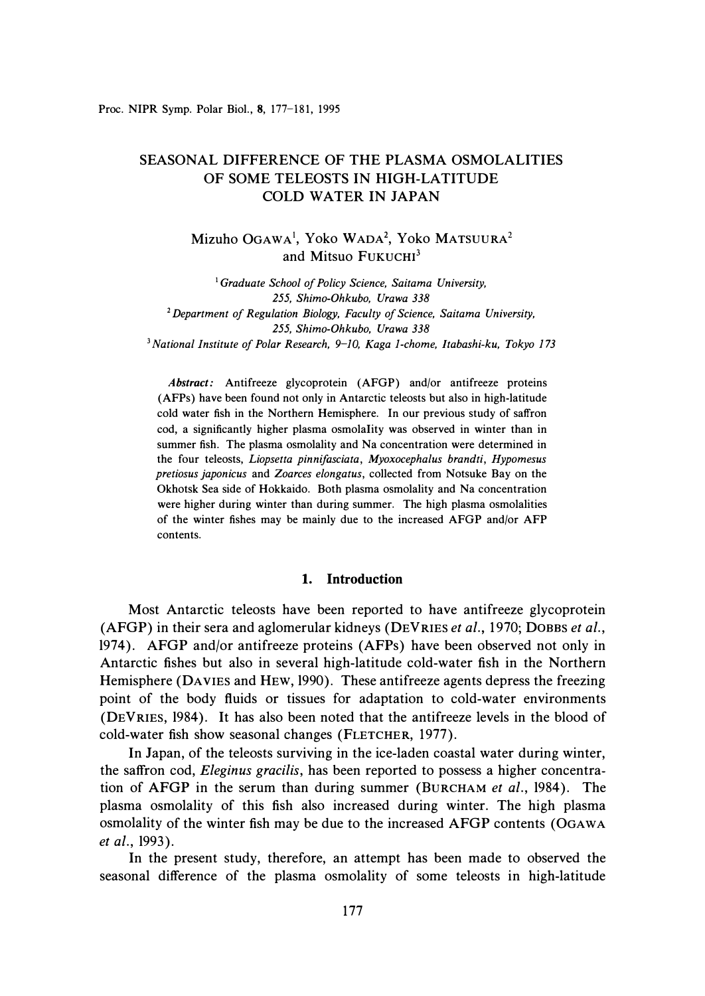# SEASONAL DIFFERENCE OF THE PLASMA OSMOLALITIES OF SOME TELEOSTS IN HIGH-LATITUDE **COLD WATER IN JAPAN**

Mizuho OGAWA<sup>1</sup>, Yoko WADA<sup>2</sup>, Yoko MATSUURA<sup>2</sup> and Mitsuo FUKUCHI<sup>3</sup>

<sup>1</sup>*Graduate School of Policy Science, Saitama University, 255, Shimo-Ohkubo, Urawa 338*  **<sup>2</sup>***Department of Regulation Biology, Faculty of Science, Saitama University, 255, Shimo-Ohkubo, Urawa 338*  <sup>3</sup>*National Institute of Polar Research, 9-10, Kaga 1-chome, ltabashi-ku, Tokyo 173* 

*Abstract:* Antifreeze glycoprotein (AFGP) and/or antifreeze proteins (AFPs) have been found not only in Antarctic teleosts but also in high-latitude cold water fish in the Northern Hemisphere. In our previous study of saffron cod, a significantly higher plasma osmolality was observed in winter than in summer fish. The plasma osmolality and Na concentration were determined in the four teleosts, *Liopsetta pinnifasciata, Myoxocephalus brandti, Hypomesus pretiosus japonicus* and *Zoarces elongatus,* collected from Notsuke Bay on the Okhotsk Sea side of Hokkaido. Both plasma osmolality and Na concentration were higher during winter than during summer. The high plasma osmolalities of the winter fishes may be mainly due to the increased AFGP and/or AFP contents.

## **1. Introduction**

Most Antarctic teleosts have been reported to have antifreeze glycoprotein (AFGP) in their sera and aglomerular kidneys (DEVRIES *et al.,* 1970; DOBBS *et al.,*  1974). AFGP and/or antifreeze proteins (AFPs) have been observed not only in Antarctic fishes but also in several high-latitude cold-water fish in the Northern Hemisphere (DAVIES and HEW, 1990). These antifreeze agents depress the freezing point of the body fluids or tissues for adaptation to cold-water environments (DEVRIES, 1984). It has also been noted that the antifreeze levels in the blood of cold-water fish show seasonal changes (FLETCHER, 1977).

In Japan, of the teleosts surviving in the ice-laden coastal water during winter, the saffron cod, *Eleginus gracilis,* has been reported to possess a higher concentration of **AFGP** in the serum than during summer (BURCHAM *et al.,* 1984 ). The plasma osmolality of this fish also increased during winter. The high plasma osmolality of the winter fish may be due to the increased AFGP contents (OGAWA *et al.,* 1993).

In the present study, therefore, an attempt has been made to observed the seasonal difference of the plasma osmolality of some teleosts in high-latitude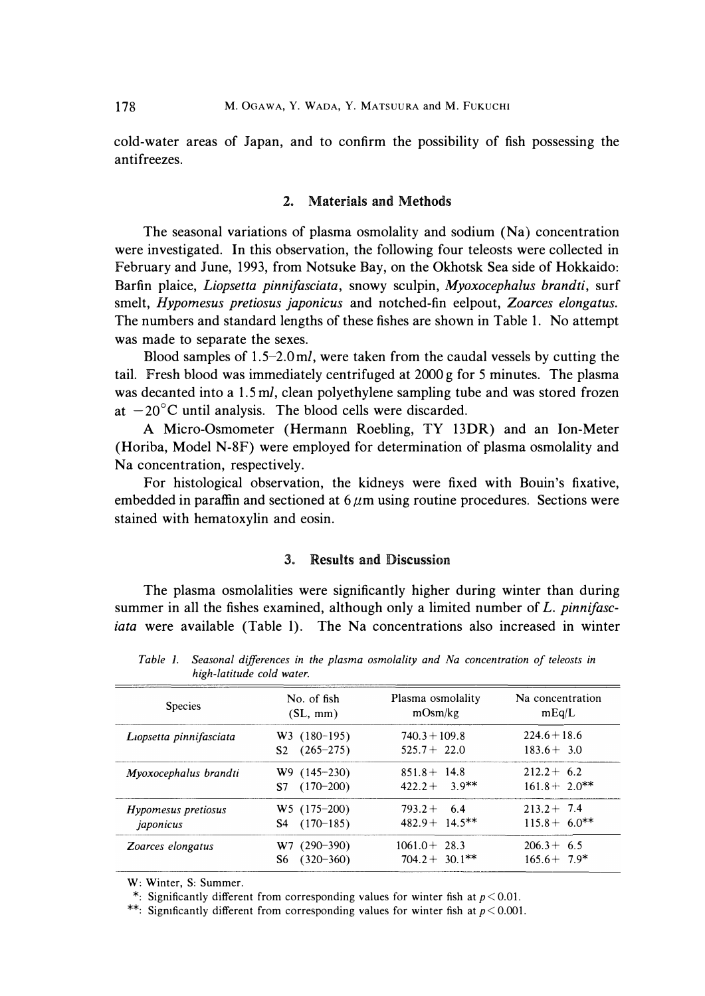cold-water areas of Japan, and to confirm the possibility of fish possessing the antifreezes.

## 2. Materials and Methods

The seasonal variations of plasma osmolality and sodium (Na) concentration were investigated. In this observation, the following four teleosts were collected in February and June, 1993, from Notsuke Bay, on the Okhotsk Sea side of Hokkaido: Bartin plaice, *Liopsetta pinnifasciata,* snowy sculpin, *Myoxocephalus brandti,* surf smelt, *Hypomesus pretiosus japonicus* and notched-fin eelpout, *Zoarces elongatus.*  The numbers and standard lengths of these fishes are shown in Table 1. No attempt was made to separate the sexes.

Blood samples of  $1.5-2.0$  ml, were taken from the caudal vessels by cutting the tail. Fresh blood was immediately centrifuged at 2000 g for 5 minutes. The plasma was decanted into a 1.5 *ml,* clean polyethylene sampling tube and was stored frozen at  $-20^{\circ}$ C until analysis. The blood cells were discarded.

A Micro-Osmometer (Hermann Roehling, TY 13DR) and an Ion-Meter (Horiba, Model N-8F) were employed for determination of plasma osmolality and Na concentration, respectively.

For histological observation, the kidneys were fixed with Bouin's fixative, embedded in paraffin and sectioned at  $6 \mu m$  using routine procedures. Sections were stained with hematoxylin and eosin.

## **31. Results and Discussion**

The plasma osmolalities were significantly higher during winter than during summer in all the fishes examined, although only a limited number of *L. pinnifasciata* were available (Table 1). The Na concentrations also increased in winter

| <b>Species</b>          | No. of fish                                       | Plasma osmolality                               | Na concentration                |
|-------------------------|---------------------------------------------------|-------------------------------------------------|---------------------------------|
|                         | (SL, mm)                                          | mOsm/kg                                         | mEq/L                           |
| Liopsetta pinnifasciata | $W3$ (180-195)<br>$(265 - 275)$<br>S <sub>2</sub> | $740.3 + 109.8$<br>$525.7 + 22.0$               | $224.6 + 18.6$<br>$183.6 + 3.0$ |
| Myoxocephalus brandti   | $W9(145-230)$                                     | $851.8 + 14.8$                                  | $212.2 + 6.2$                   |
|                         | $S7(170-200)$                                     | $422.2 + 3.9**$                                 | $161.8 + 2.0^{**}$              |
| Hypomesus pretiosus     | $W5$ (175-200)                                    | $793.2 + 6.4$                                   | $213.2 + 7.4$                   |
| japonicus               | $S4$ (170-185)                                    | $482.9 + 14.5$ **                               | $115.8 + 6.0$ **                |
| Zoarces elongatus       | $(290 - 390)$<br>W7.<br>$(320 - 360)$<br>S6       | $1061.0 + 28.3$<br>$704.2 + 30.1$ <sup>**</sup> | $206.3 + 6.5$<br>$165.6 + 7.9*$ |

*Table 1. Seasonal differences in the plasma osmolality and Na concentration of teleosts in high-latitude cold water.* 

*W: Winter, S: Summer.* 

*\*: Significantly different from corresponding values for winter fish at p < 0.01.* 

*\*\*: Sigmficantly different from corresponding values for winter fish at p < 0.001.*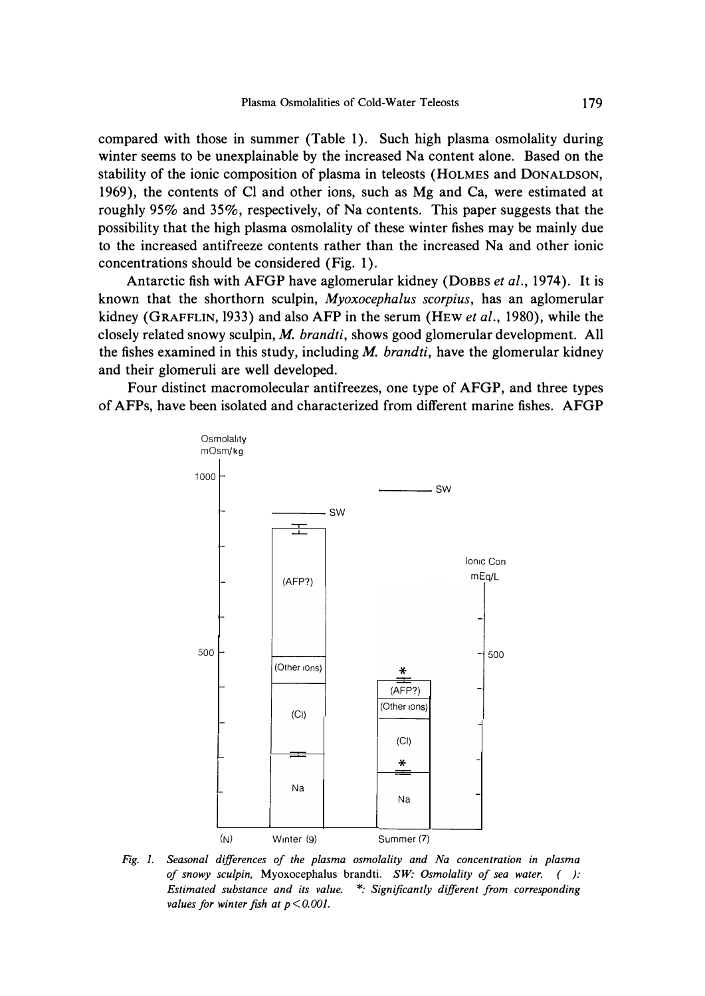**compared with those in summer (Table 1). Such high plasma osmolality during winter seems to be unexplainable by the increased Na content alone. Based on the stability of the ionic composition of plasma in teleosts (HOLMES and DONALDSON, 1969), the contents of Cl and other ions, such as Mg and Ca, were estimated at roughly 95% and 35%, respectively, of Na contents. This paper suggests that the possibility that the high plasma osmolality of these winter fishes may be mainly due to the increased antifreeze contents rather than the increased Na and other ionic concentrations should be considered (Fig. 1).** 

**Antarctic fish with AFGP have aglomerular kidney (DOBBS** *et al.,* **1974). It is known that the shorthorn sculpin,** *Myoxocephalus scorpius,* **has an aglomerular kidney (GRAFFLIN, 1933) and also AFP in the serum (HEW** *et al.,* **1980), while the closely related snowy sculpin,** *M. brand ti,* **shows good glomerular development. All the fishes examined in this study, including** *M. brandti,* **have the glomerular kidney and their glomeruli are well developed.** 

**Four distinct macromolecular antifreezes, one type of AFGP, and three types of AFPs, have been isolated and characterized from different marine fishes. AFGP** 



*Fig. I. Seasonal differences of the plasma osmolality and Na concentration in plasma of snowy sculpin,* **Myoxocephalus brandti.** *SW· Osmolality of sea water. ( ): Estimated substance and its value. \*: Significantly different from corresponding values for winter fish at p <0.001.*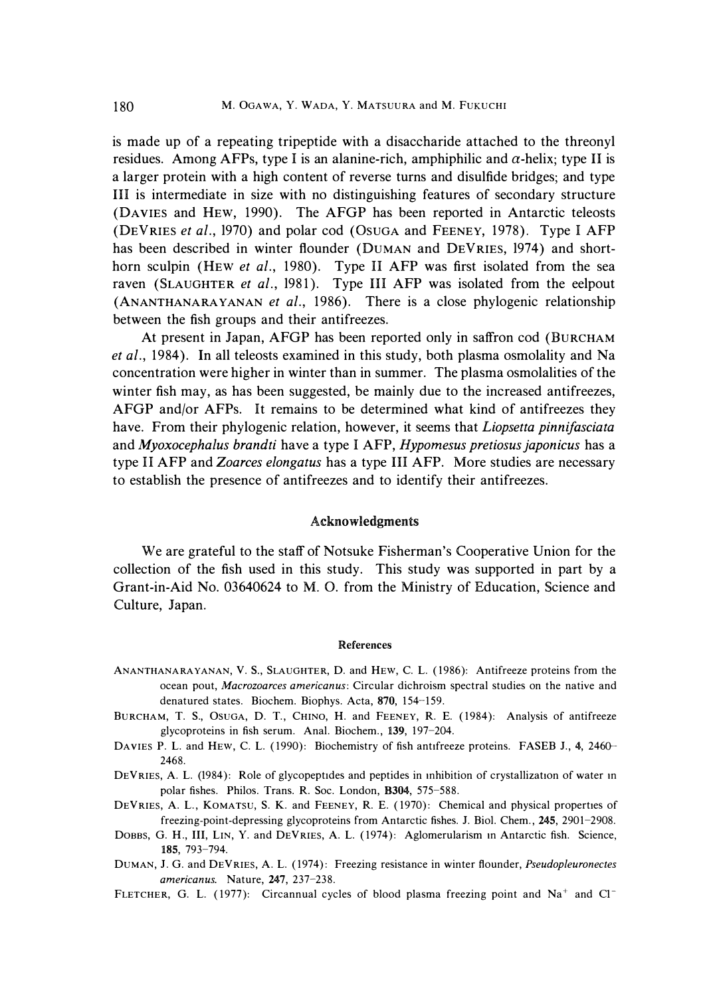is made up of a repeating tripeptide with a disaccharide attached to the threonyl residues. Among AFPs, type I is an alanine-rich, amphiphilic and  $\alpha$ -helix; type II is a larger protein with a high content of reverse turns and disulfide bridges; and type HI is intermediate in size with no distinguishing features of secondary structure (DAVIES and HEW, 1990). The AFGP has been reported in Antarctic teleosts (DEVRIES *et al.,* 1970) and polar cod (0SUGA and FEENEY, 1978). Type I AFP has been described in winter flounder (DUMAN and DEVRIES, 1974) and shorthorn sculpin (HEW *et al.,* 1980). Type II AFP was first isolated from the sea raven (SLAUGHTER et al., 1981). Type III AFP was isolated from the eelpout (ANANTHANARA YANAN *et al.,* 1986). There is a close phylogenic relationship between the fish groups and their antifreezes.

At present in Japan, AFGP has been reported only in saffron cod (BURCHAM *et al.,* 1984). **In** all teleosts examined in this study, both plasma osmolality and Na concentration were higher in winter than in summer. The plasma osmolalities of the winter fish may, as has been suggested, be mainly due to the increased antifreezes, AFGP and/or AFPs. It remains to be determined what kind of antifreezes they have. From their phylogenic relation, however, it seems that *Liopsetta pinnifasciata*  and *Myoxocephalus brandti* have a type I AFP, *Hypomesus pretiosus japonicus* has a type II AFP and *Zoarces elongatus* has a type HI AFP. More studies are necessary to establish the presence of antifreezes and to identify their antifreezes.

#### **Acknowledgments**

We are grateful to the staff of Notsuke Fisherman's Cooperative Union for the collection of the fish used in this study. This study was supported in part by a Grant-in-Aid No. 03640624 to M. 0. from the Ministry of Education, Science and Culture, Japan.

#### **References**

- *ANANTHANARAYANAN, V.* s., *SLAUGHTER, D. and HEW, C. L. (1986): Antifreeze proteins from the ocean pout, Macrozoarces americanus: Circular dichroism spectral studies on the native and denatured states. Biochem. Biophys. Acta, 870, 154-159.*
- *BURCHAM, T. S., OsuGA, D. T., CHINO, H. and FEENEY, R. E. (1984): Analysis of antifreeze glycoproteins in fish serum. Anal. Biochem., 139, 197-204.*
- *DAVIES P. L. and HEW, C. L. (1990): Biochemistry of fish antifreeze proteins. FASEB J., 4, 2460-- 2468.*
- *DEVRIES, A. L. (1984): Role of glycopept1des and peptides in mhibition of crystallization of water m polar fishes. Philos. Trans. R. Soc. London, B304, 575-588.*
- *DEVRIES, A. L. , KOMATSU, S. K. and FEENEY, R. E. ( 1970): Chemical and physical properties of freezing-point-depressing glycoproteins from Antarctic fishes. J. Biol. Chem. , 245, 2901-2908.*
- DOBBS, G. H., III, LIN, Y. and DEVRIES, A. L. (1974): Aglomerularism in Antarctic fish. Science, *185, 793-794.*
- *DUMAN, J. G. and DEVRIES, A. L. (1974): Freezing resistance in winter flounder, Pseudopleuronectes americanus. Nature, 247, 237-238.*
- *FLETCHER, G. L. (1977): Circannual cycles of blood plasma freezing point and Na***<sup>+</sup>***and c1-*